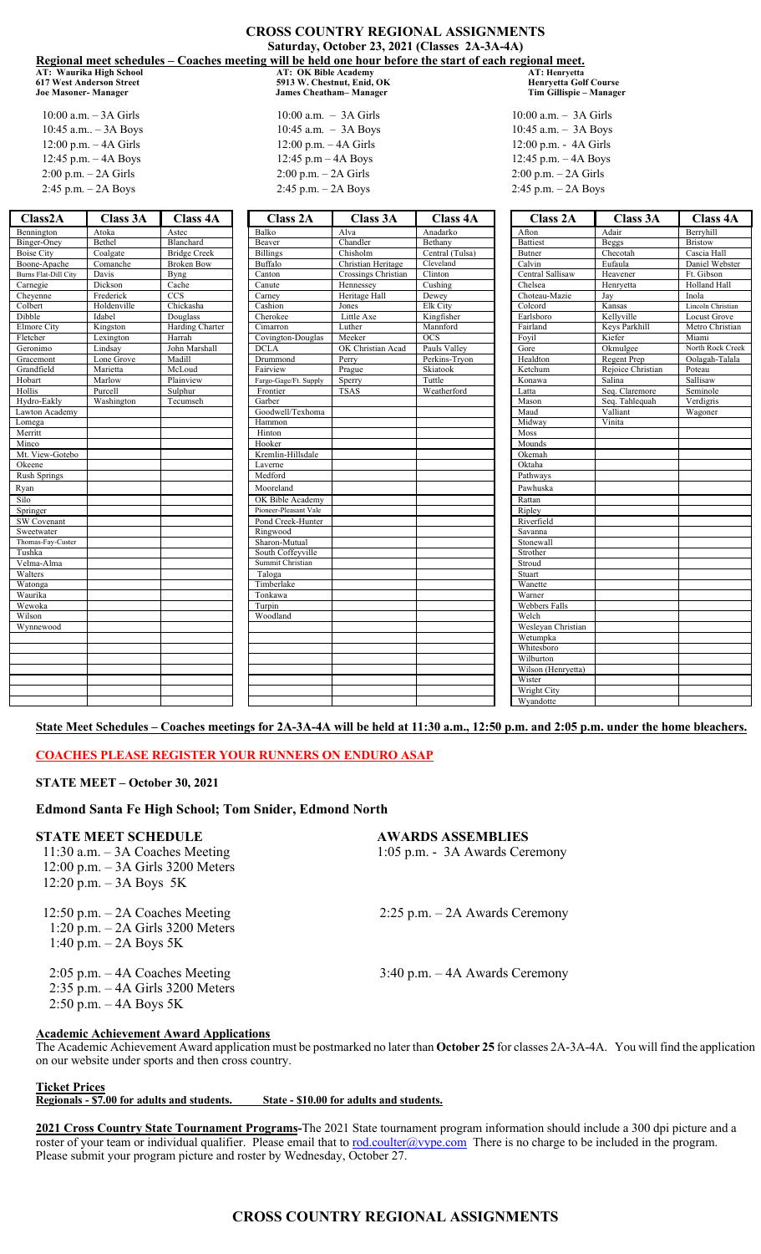|                             |                          |                           | <b>CROSS COUNTRY REGIONAL ASSIGNMENTS</b>                                                               |                                               |                           |                         |                              |                          |  |
|-----------------------------|--------------------------|---------------------------|---------------------------------------------------------------------------------------------------------|-----------------------------------------------|---------------------------|-------------------------|------------------------------|--------------------------|--|
|                             |                          |                           |                                                                                                         | Saturday, October 23, 2021 (Classes 2A-3A-4A) |                           |                         |                              |                          |  |
|                             |                          |                           | Regional meet schedules – Coaches meeting will be held one hour before the start of each regional meet. |                                               |                           |                         |                              |                          |  |
|                             | AT: Waurika High School  |                           | <b>AT: OK Bible Academy</b>                                                                             |                                               |                           | AT: Henrvetta           |                              |                          |  |
|                             | 617 West Anderson Street |                           |                                                                                                         | 5913 W. Chestnut, Enid, OK                    |                           |                         | <b>Henryetta Golf Course</b> |                          |  |
| <b>Joe Masoner- Manager</b> |                          |                           |                                                                                                         | <b>James Cheatham-Manager</b>                 |                           |                         | Tim Gillispie - Manager      |                          |  |
| $10:00$ a.m. $-3A$ Girls    |                          | $10:00$ a.m. $- 3A$ Girls |                                                                                                         |                                               | $10:00$ a.m. $-$ 3A Girls |                         |                              |                          |  |
|                             | 10:45 a.m - 3A Boys      |                           |                                                                                                         | 10:45 a.m. $-$ 3A Boys                        |                           |                         | 10:45 a.m. $-$ 3A Boys       |                          |  |
|                             |                          |                           | 12:00 p.m. $-$ 4A Girls                                                                                 |                                               |                           | 12:00 p.m. - 4A Girls   |                              |                          |  |
| 12:00 p.m. $-$ 4A Girls     |                          |                           |                                                                                                         |                                               |                           | 12:45 p.m. - 4A Boys    |                              |                          |  |
| 12:45 p.m. $-$ 4A Boys      |                          | 12:45 p.m - 4A Boys       |                                                                                                         |                                               |                           |                         |                              |                          |  |
|                             | $2:00$ p.m. $-$ 2A Girls |                           | $2:00$ p.m. $-$ 2A Girls                                                                                |                                               |                           | 2:00 p.m. - 2A Girls    |                              |                          |  |
| 2:45 p.m. - 2A Boys         |                          | $2:45$ p.m. $- 2A$ Boys   |                                                                                                         |                                               | 2:45 p.m. - 2A Boys       |                         |                              |                          |  |
| Class <sub>2</sub> A        | Class 3A                 | <b>Class 4A</b>           | <b>Class 2A</b>                                                                                         | <b>Class 3A</b>                               | <b>Class 4A</b>           | <b>Class 2A</b>         | Class 3A                     | <b>Class 4A</b>          |  |
| Bennington                  | Atoka                    | Astec                     | Balko                                                                                                   | Alva                                          | Anadarko                  | Afton                   | Adair                        | Berryhill                |  |
| Binger-Oney                 | Bethel                   | Blanchard                 | Beaver                                                                                                  | Chandler                                      | Bethany                   | <b>Battiest</b>         | <b>Beggs</b>                 | <b>Bristow</b>           |  |
| Boise City                  | Coalgate                 | <b>Bridge Creek</b>       | <b>Billings</b>                                                                                         | Chisholm                                      | Central (Tulsa)           | Butner                  | Checotah                     | Cascia Hall              |  |
| Boone-Apache                | Comanche                 | <b>Broken Bow</b>         | Buffalo                                                                                                 | Christian Heritage                            | Cleveland                 | Calvin                  | Eufaula                      | Daniel Webster           |  |
| <b>Burns Flat-Dill City</b> | Davis                    | Byng                      | Canton                                                                                                  | Crossings Christian                           | Clinton                   | Central Sallisaw        | Heavener                     | Ft. Gibson               |  |
| Carnegie                    | Dickson                  | Cache                     | Canute                                                                                                  | Hennessey                                     | Cushing                   | Chelsea                 | Henryetta                    | Holland Hall             |  |
| Cheyenne                    | Frederick                | <b>CCS</b>                | Carney                                                                                                  | Heritage Hall                                 | Dewey                     | Choteau-Mazie           | Jay                          | Inola                    |  |
| Colbert                     | Holdenville              | Chickasha                 | Cashion                                                                                                 | Jones                                         | Elk City                  | Colcord                 | Kansas                       | Lincoln Christian        |  |
| Dibble<br>Elmore City       | Idabel                   | Douglass                  | Cherokee                                                                                                | Little Axe                                    | Kingfisher                | Earlsboro               | Kellyville                   | Locust Grove             |  |
| Fletcher                    | Kingston<br>Lexington    | Harding Charter<br>Harrah | Cimarron                                                                                                | Luther<br>Meeker                              | Mannford<br><b>OCS</b>    | Fairland<br>Foyil       | Keys Parkhill<br>Kiefer      | Metro Christian<br>Miami |  |
| Geronimo                    | Lindsay                  | John Marshall             | Covington-Douglas<br><b>DCLA</b>                                                                        | OK Christian Acad                             | Pauls Valley              | Gore                    | Okmulgee                     | North Rock Creek         |  |
| Gracemont                   | Lone Grove               | Madill                    | Drummond                                                                                                | Perry                                         | Perkins-Tryon             | Healdton                | Regent Prep                  | Oolagah-Talala           |  |
| Grandfield                  | Marietta                 | McLoud                    | Fairview                                                                                                | Prague                                        | Skiatook                  | Ketchum                 | Rejoice Christian            | Poteau                   |  |
| Hobart                      | Marlow                   | Plainview                 | Fargo-Gage/Ft. Supply                                                                                   | Sperry                                        | Tuttle                    | Konawa                  | Salina                       | Sallisaw                 |  |
| Hollis                      | Purcell                  | Sulphur                   | Frontier                                                                                                | <b>TSAS</b>                                   | Weatherford               | Latta                   | Seq. Claremore               | Seminole                 |  |
| Hydro-Eakly                 | Washington               | Tecumseh                  | Garber                                                                                                  |                                               |                           | Mason                   | Seq. Tahlequah               | Verdigris                |  |
| Lawton Academy              |                          |                           | Goodwell/Texhoma                                                                                        |                                               |                           | Maud                    | Valliant                     | Wagoner                  |  |
| Lomega                      |                          |                           | Hammon                                                                                                  |                                               |                           | Midway                  | Vinita                       |                          |  |
| Merritt                     |                          |                           | Hinton                                                                                                  |                                               |                           | Moss                    |                              |                          |  |
| Minco                       |                          |                           | Hooker                                                                                                  |                                               |                           | Mounds                  |                              |                          |  |
| Mt. View-Gotebo             |                          |                           | Kremlin-Hillsdale                                                                                       |                                               |                           | Okemah                  |                              |                          |  |
| Okeene                      |                          |                           | Laverne                                                                                                 |                                               |                           | Oktaha                  |                              |                          |  |
| <b>Rush Springs</b>         |                          |                           | Medford                                                                                                 |                                               |                           | Pathways                |                              |                          |  |
| Ryan                        |                          |                           | Mooreland                                                                                               |                                               |                           | Pawhuska                |                              |                          |  |
| Silo                        |                          |                           | OK Bible Academy                                                                                        |                                               |                           | Rattan                  |                              |                          |  |
| Springer                    |                          |                           | Pioneer-Pleasant Vale                                                                                   |                                               |                           | Ripley                  |                              |                          |  |
| SW Covenant                 |                          |                           | Pond Creek-Hunter                                                                                       |                                               |                           | Riverfield              |                              |                          |  |
| Sweetwater                  |                          |                           | Ringwood                                                                                                |                                               |                           | Savanna                 |                              |                          |  |
| Thomas-Fay-Custer           |                          |                           | Sharon-Mutual                                                                                           |                                               |                           | Stonewall               |                              |                          |  |
| Tushka                      |                          |                           | South Coffeyville                                                                                       |                                               |                           | Strother                |                              |                          |  |
| Velma-Alma                  |                          |                           | Summit Christian                                                                                        |                                               |                           | Stroud                  |                              |                          |  |
| Walters                     |                          |                           | Taloga                                                                                                  |                                               |                           | Stuart                  |                              |                          |  |
| Watonga                     |                          |                           | Timberlake                                                                                              |                                               |                           | Wanette                 |                              |                          |  |
| Waurika                     |                          |                           | Tonkawa                                                                                                 |                                               |                           | Warner                  |                              |                          |  |
| Wewoka                      |                          |                           | Turpin                                                                                                  |                                               |                           | Webbers Falls           |                              |                          |  |
| Wilson                      |                          |                           | Woodland                                                                                                |                                               |                           | Welch                   |                              |                          |  |
| Wynnewood                   |                          |                           |                                                                                                         |                                               |                           | Wesleyan Christian      |                              |                          |  |
|                             |                          |                           |                                                                                                         |                                               |                           | Wetumpka                |                              |                          |  |
|                             |                          |                           |                                                                                                         |                                               |                           | Whitesboro<br>Wilburton |                              |                          |  |
|                             |                          |                           |                                                                                                         |                                               |                           | Wilson (Henryetta)      |                              |                          |  |
|                             |                          |                           |                                                                                                         |                                               |                           | Wister                  |                              |                          |  |
|                             |                          |                           |                                                                                                         |                                               |                           | <b>Wright City</b>      |                              |                          |  |
|                             |                          |                           |                                                                                                         |                                               |                           | Wyandotte               |                              |                          |  |
|                             |                          |                           |                                                                                                         |                                               |                           |                         |                              |                          |  |

**State Meet Schedules – Coaches meetings for 2A-3A-4A will be held at 11:30 a.m., 12:50 p.m. and 2:05 p.m. under the home bleachers.**

## **COACHES PLEASE REGISTER YOUR RUNNERS ON ENDURO ASAP**

## **STATE MEET – October 30, 2021**

## **Edmond Santa Fe High School; Tom Snider, Edmond North**

## **STATE MEET SCHEDULE AWARDS ASSEMBLIES** 11:30 a.m. – 3A Coaches Meeting 1:05 p.m. - 3A Awards Ceremony 12:00 p.m. – 3A Girls 3200 Meters 12:20 p.m. – 3A Boys 5K 12:50 p.m. – 2A Coaches Meeting 2:25 p.m. – 2A Awards Ceremony 1:20 p.m. – 2A Girls 3200 Meters 1:40 p.m. – 2A Boys 5K 2:05 p.m. – 4A Coaches Meeting 3:40 p.m. – 4A Awards Ceremony 2:35 p.m. – 4A Girls 3200 Meters 2:50 p.m. – 4A Boys 5K

## **Academic Achievement Award Applications**

The Academic Achievement Award application must be postmarked no later than **October 25** for classes 2A-3A-4A. You will find the application on our website under sports and then cross country.

## **Ticket Prices**

## **Regionals - \$7.00 for adults and students. State - \$10.00 for adults and students.**

**2021 Cross Country State Tournament Programs-**The 2021 State tournament program information should include a 300 dpi picture and a roster of your team or individual qualifier. Please email that to rod.coulter@vype.com There is no charge to be included in the program. Please submit your program picture and roster by Wednesday, October 27.

# **CROSS COUNTRY REGIONAL ASSIGNMENTS**